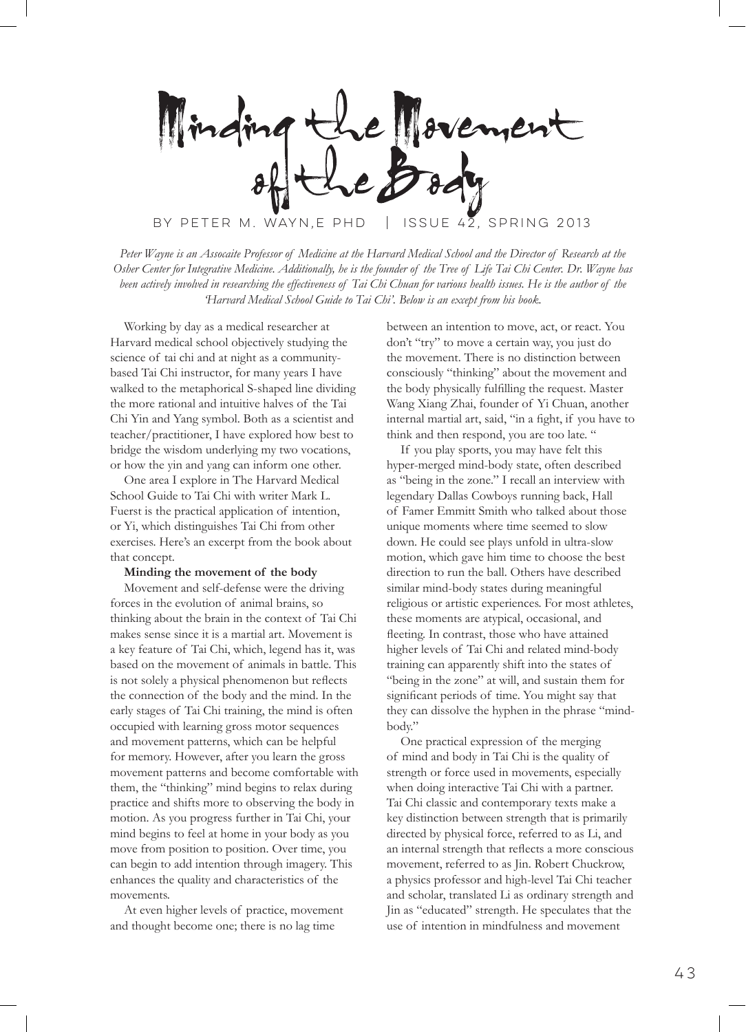Hovement BY PETER M. WAYN,E PHD  $\parallel$  ISSUE 42, SPRING 2013

*Peter Wayne is an Assocaite Professor of Medicine at the Harvard Medical School and the Director of Research at the Osher Center for Integrative Medicine. Additionally, he is the founder of the Tree of Life Tai Chi Center. Dr. Wayne has* 

*been actively involved in researching the effectiveness of Tai Chi Chuan for various health issues. He is the author of the 'Harvard Medical School Guide to Tai Chi'. Below is an except from his book.*

Working by day as a medical researcher at Harvard medical school objectively studying the science of tai chi and at night as a communitybased Tai Chi instructor, for many years I have walked to the metaphorical S-shaped line dividing the more rational and intuitive halves of the Tai Chi Yin and Yang symbol. Both as a scientist and teacher/practitioner, I have explored how best to bridge the wisdom underlying my two vocations, or how the yin and yang can inform one other.

One area I explore in The Harvard Medical School Guide to Tai Chi with writer Mark L. Fuerst is the practical application of intention, or Yi, which distinguishes Tai Chi from other exercises. Here's an excerpt from the book about that concept.

## **Minding the movement of the body**

Movement and self-defense were the driving forces in the evolution of animal brains, so thinking about the brain in the context of Tai Chi makes sense since it is a martial art. Movement is a key feature of Tai Chi, which, legend has it, was based on the movement of animals in battle. This is not solely a physical phenomenon but reflects the connection of the body and the mind. In the early stages of Tai Chi training, the mind is often occupied with learning gross motor sequences and movement patterns, which can be helpful for memory. However, after you learn the gross movement patterns and become comfortable with them, the "thinking" mind begins to relax during practice and shifts more to observing the body in motion. As you progress further in Tai Chi, your mind begins to feel at home in your body as you move from position to position. Over time, you can begin to add intention through imagery. This enhances the quality and characteristics of the movements.

At even higher levels of practice, movement and thought become one; there is no lag time

between an intention to move, act, or react. You don't "try" to move a certain way, you just do the movement. There is no distinction between consciously "thinking" about the movement and the body physically fulfilling the request. Master Wang Xiang Zhai, founder of Yi Chuan, another internal martial art, said, "in a fight, if you have to think and then respond, you are too late. "

If you play sports, you may have felt this hyper-merged mind-body state, often described as "being in the zone." I recall an interview with legendary Dallas Cowboys running back, Hall of Famer Emmitt Smith who talked about those unique moments where time seemed to slow down. He could see plays unfold in ultra-slow motion, which gave him time to choose the best direction to run the ball. Others have described similar mind-body states during meaningful religious or artistic experiences. For most athletes, these moments are atypical, occasional, and fleeting. In contrast, those who have attained higher levels of Tai Chi and related mind-body training can apparently shift into the states of "being in the zone" at will, and sustain them for significant periods of time. You might say that they can dissolve the hyphen in the phrase "mindbody."

One practical expression of the merging of mind and body in Tai Chi is the quality of strength or force used in movements, especially when doing interactive Tai Chi with a partner. Tai Chi classic and contemporary texts make a key distinction between strength that is primarily directed by physical force, referred to as Li, and an internal strength that reflects a more conscious movement, referred to as Jin. Robert Chuckrow, a physics professor and high-level Tai Chi teacher and scholar, translated Li as ordinary strength and Jin as "educated" strength. He speculates that the use of intention in mindfulness and movement